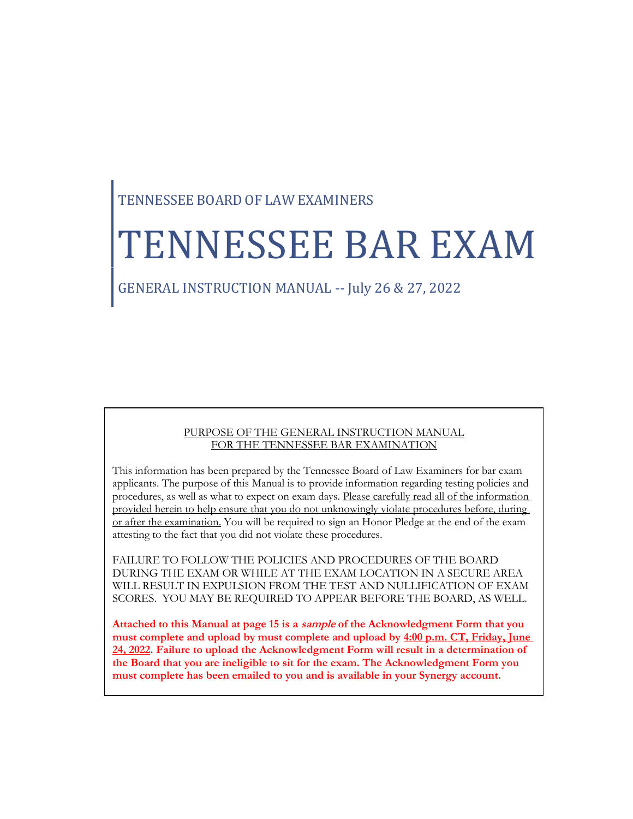# TENNESSEE BOARD OF LAW EXAMINERS

# TENNESSEE BAR EXAM

## GENERAL INSTRUCTION MANUAL -- July 26 & 27, 2022

#### PURPOSE OF THE GENERAL INSTRUCTION MANUAL FOR THE TENNESSEE BAR EXAMINATION

This information has been prepared by the Tennessee Board of Law Examiners for bar exam applicants. The purpose of this Manual is to provide information regarding testing policies and procedures, as well as what to expect on exam days. Please carefully read all of the information provided herein to help ensure that you do not unknowingly violate procedures before, during or after the examination. You will be required to sign an Honor Pledge at the end of the exam attesting to the fact that you did not violate these procedures.

FAILURE TO FOLLOW THE POLICIES AND PROCEDURES OF THE BOARD DURING THE EXAM OR WHILE AT THE EXAM LOCATION IN A SECURE AREA WILL RESULT IN EXPULSION FROM THE TEST AND NULLIFICATION OF EXAM SCORES. YOU MAY BE REQUIRED TO APPEAR BEFORE THE BOARD, AS WELL.

**Attached to this Manual at page 15 is a sample of the Acknowledgment Form that you must complete and upload by must complete and upload by 4:00 p.m. CT, Friday, June 24, 2022. Failure to upload the Acknowledgment Form will result in a determination of the Board that you are ineligible to sit for the exam. The Acknowledgment Form you must complete has been emailed to you and is available in your Synergy account.**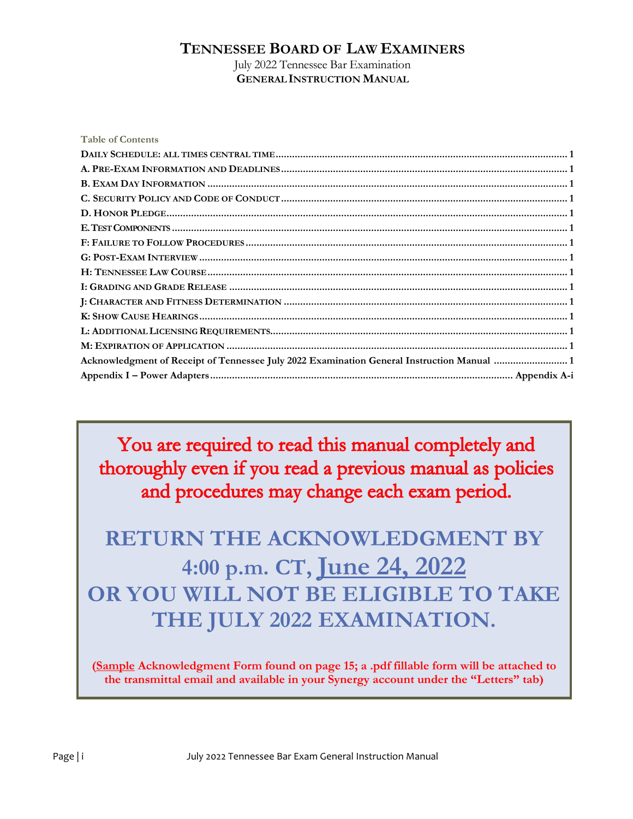#### **TENNESSEE BOARD OF LAW EXAMINERS**

July 2022 Tennessee Bar Examination **GENERALINSTRUCTION MANUAL**

| <b>Table of Contents</b>                                                                   |
|--------------------------------------------------------------------------------------------|
|                                                                                            |
|                                                                                            |
|                                                                                            |
|                                                                                            |
|                                                                                            |
|                                                                                            |
|                                                                                            |
|                                                                                            |
|                                                                                            |
|                                                                                            |
|                                                                                            |
|                                                                                            |
|                                                                                            |
|                                                                                            |
| Acknowledgment of Receipt of Tennessee July 2022 Examination General Instruction Manual  1 |
|                                                                                            |

You are required to read this manual completely and thoroughly even if you read a previous manual as policies and procedures may change each exam period.

# **RETURN THE ACKNOWLEDGMENT BY 4:00 p.m. CT, June 24, 2022 OR YOU WILL NOT BE ELIGIBLE TO TAKE THE JULY 2022 EXAMINATION.**

**(Sample Acknowledgment Form found on page 15; a .pdf fillable form will be attached to the transmittal email and available in your Synergy account under the "Letters" tab)**

Page | i  $\qquad \qquad$  July 2022 Tennessee Bar Exam General Instruction Manual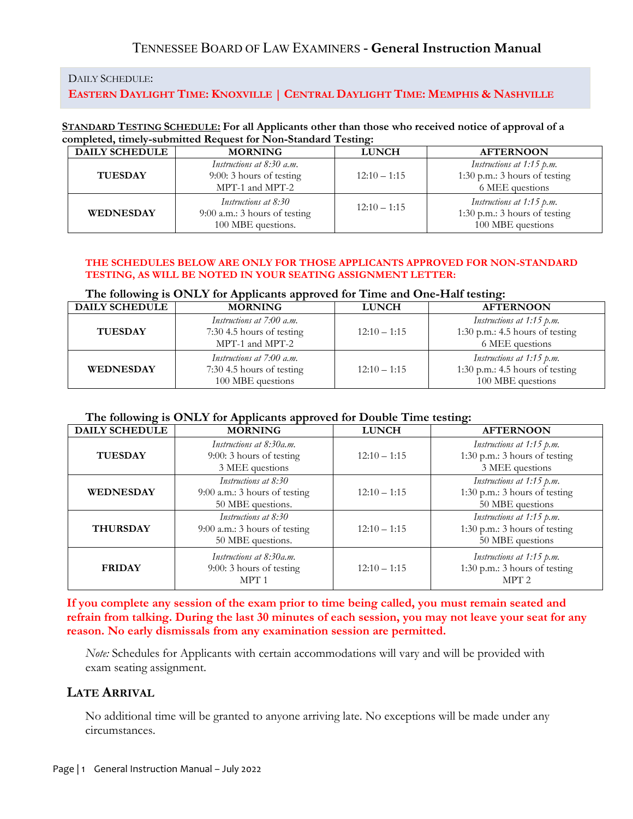#### DAILY SCHEDULE:

#### EASTERN DAYLIGHT TIME: KNOXVILLE | CENTRAL DAYLIGHT TIME: MEMPHIS & NASHVILLE

#### **STANDARD TESTING SCHEDULE: For all Applicants other than those who received notice of approval of a completed, timely-submitted Request for Non-Standard Testing:**

| <b>DAILY SCHEDULE</b> | <b>MORNING</b>                                                                | <b>LUNCH</b>   | <b>AFTERNOON</b>                                                                  |
|-----------------------|-------------------------------------------------------------------------------|----------------|-----------------------------------------------------------------------------------|
| <b>TUESDAY</b>        | Instructions at 8:30 a.m.<br>$9:00:3$ hours of testing<br>MPT-1 and MPT-2     | $12:10 - 1:15$ | Instructions at 1:15 p.m.<br>1:30 p.m.: 3 hours of testing<br>6 MEE questions     |
| <b>WEDNESDAY</b>      | Instructions at 8:30<br>$9:00$ a.m.: 3 hours of testing<br>100 MBE questions. | $12:10 - 1:15$ | Instructions at 1:15 p.m.<br>1:30 p.m.: $3$ hours of testing<br>100 MBE questions |

#### **THE SCHEDULES BELOW ARE ONLY FOR THOSE APPLICANTS APPROVED FOR NON-STANDARD TESTING, AS WILL BE NOTED IN YOUR SEATING ASSIGNMENT LETTER:**

#### **The following is ONLY for Applicants approved for Time and One-Half testing:**

| <b>DAILY SCHEDULE</b> | <b>MORNING</b>                                                              | <b>LUNCH</b>   | <b>AFTERNOON</b>                                                                  |
|-----------------------|-----------------------------------------------------------------------------|----------------|-----------------------------------------------------------------------------------|
| <b>TUESDAY</b>        | Instructions at 7:00 a.m.<br>7:30 4.5 hours of testing<br>MPT-1 and MPT-2   | $12:10 - 1:15$ | Instructions at 1:15 p.m.<br>1:30 p.m.: 4.5 hours of testing<br>6 MEE questions   |
| <b>WEDNESDAY</b>      | Instructions at 7:00 a.m.<br>7:30 4.5 hours of testing<br>100 MBE questions | $12:10 - 1:15$ | Instructions at 1:15 p.m.<br>1:30 p.m.: 4.5 hours of testing<br>100 MBE questions |

#### **The following is ONLY for Applicants approved for Double Time testing:**

| <b>DAILY SCHEDULE</b> | <b>MORNING</b>                                                               | <b>LUNCH</b>   | <b>AFTERNOON</b>                                                               |
|-----------------------|------------------------------------------------------------------------------|----------------|--------------------------------------------------------------------------------|
| <b>TUESDAY</b>        | Instructions at 8:30a.m.<br>$9:00:3$ hours of testing<br>3 MEE questions     | $12:10 - 1:15$ | Instructions at 1:15 p.m.<br>1:30 p.m.: 3 hours of testing<br>3 MEE questions  |
| <b>WEDNESDAY</b>      | Instructions at 8:30<br>$9:00$ a.m.: 3 hours of testing<br>50 MBE questions. | $12:10 - 1:15$ | Instructions at 1:15 p.m.<br>1:30 p.m.: 3 hours of testing<br>50 MBE questions |
| <b>THURSDAY</b>       | Instructions at 8:30<br>9:00 a.m.: 3 hours of testing<br>50 MBE questions.   | $12:10 - 1:15$ | Instructions at 1:15 p.m.<br>1:30 p.m.: 3 hours of testing<br>50 MBE questions |
| <b>FRIDAY</b>         | Instructions at 8:30a.m.<br>$9:00:3$ hours of testing<br>MPT <sub>1</sub>    | $12:10 - 1:15$ | Instructions at 1:15 p.m.<br>1:30 p.m.: 3 hours of testing<br>MPT <sub>2</sub> |

**If you complete any session of the exam prior to time being called, you must remain seated and refrain from talking. During the last 30 minutes of each session, you may not leave your seat for any reason. No early dismissals from any examination session are permitted.**

*Note:* Schedules for Applicants with certain accommodations will vary and will be provided with exam seating assignment.

#### **LATE ARRIVAL**

No additional time will be granted to anyone arriving late. No exceptions will be made under any circumstances.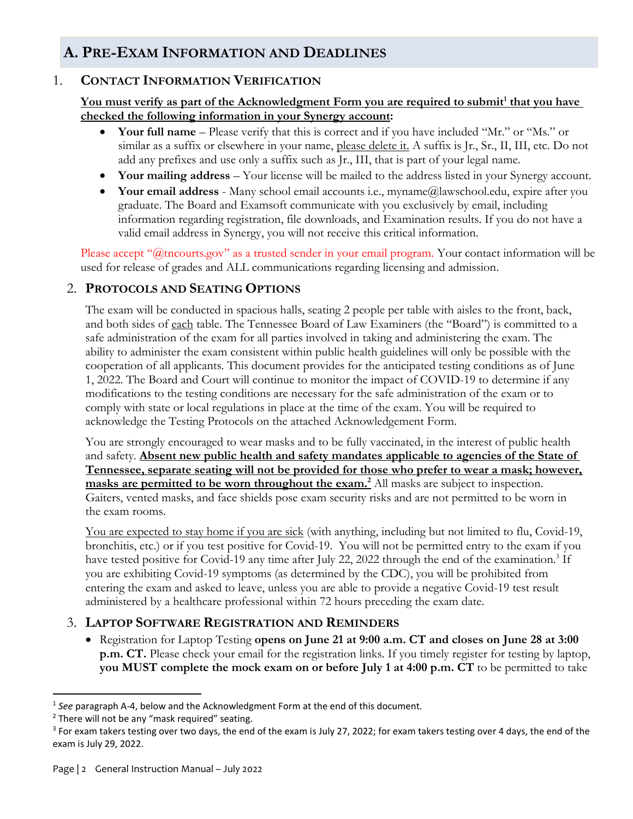# **A. PRE-EXAM INFORMATION AND DEADLINES**

#### 1. **CONTACT INFORMATION VERIFICATION**

#### **You must verify as part of the Acknowledgment Form you are required to submit<sup>1</sup> that you have checked the following information in your Synergy account:**

- **Your full name** Please verify that this is correct and if you have included "Mr." or "Ms." or similar as a suffix or elsewhere in your name, please delete it. A suffix is Jr., Sr., II, III, etc. Do not add any prefixes and use only a suffix such as Jr., III, that is part of your legal name.
- **Your mailing address** Your license will be mailed to the address listed in your Synergy account.
- **Your email address** Many school email accounts i.e., myname@lawschool.edu, expire after you graduate. The Board and Examsoft communicate with you exclusively by email, including information regarding registration, file downloads, and Examination results. If you do not have a valid email address in Synergy, you will not receive this critical information.

Please accept "@tncourts.gov" as a trusted sender in your email program. Your contact information will be used for release of grades and ALL communications regarding licensing and admission.

#### 2. **PROTOCOLS AND SEATING OPTIONS**

The exam will be conducted in spacious halls, seating 2 people per table with aisles to the front, back, and both sides of each table. The Tennessee Board of Law Examiners (the "Board") is committed to a safe administration of the exam for all parties involved in taking and administering the exam. The ability to administer the exam consistent within public health guidelines will only be possible with the cooperation of all applicants. This document provides for the anticipated testing conditions as of June 1, 2022. The Board and Court will continue to monitor the impact of COVID-19 to determine if any modifications to the testing conditions are necessary for the safe administration of the exam or to comply with state or local regulations in place at the time of the exam. You will be required to acknowledge the Testing Protocols on the attached Acknowledgement Form.

You are strongly encouraged to wear masks and to be fully vaccinated, in the interest of public health and safety. **Absent new public health and safety mandates applicable to agencies of the State of Tennessee, separate seating will not be provided for those who prefer to wear a mask; however, masks are permitted to be worn throughout the exam.<sup>2</sup> All masks are subject to inspection.** Gaiters, vented masks, and face shields pose exam security risks and are not permitted to be worn in the exam rooms.

You are expected to stay home if you are sick (with anything, including but not limited to flu, Covid-19, bronchitis, etc.) or if you test positive for Covid-19. You will not be permitted entry to the exam if you have tested positive for Covid-19 any time after July 22, 2022 through the end of the examination.<sup>3</sup> If you are exhibiting Covid-19 symptoms (as determined by the CDC), you will be prohibited from entering the exam and asked to leave, unless you are able to provide a negative Covid-19 test result administered by a healthcare professional within 72 hours preceding the exam date.

#### 3. **LAPTOP SOFTWARE REGISTRATION AND REMINDERS**

• Registration for Laptop Testing **opens on June 21 at 9:00 a.m. CT and closes on June 28 at 3:00 p.m. CT.** Please check your email for the registration links. If you timely register for testing by laptop, **you MUST complete the mock exam on or before July 1 at 4:00 p.m. CT** to be permitted to take

 $\overline{a}$ 

<sup>1</sup> *See* paragraph A-4, below and the Acknowledgment Form at the end of this document*.* 

 $2$  There will not be any "mask required" seating.

<sup>&</sup>lt;sup>3</sup> For exam takers testing over two days, the end of the exam is July 27, 2022; for exam takers testing over 4 days, the end of the exam is July 29, 2022.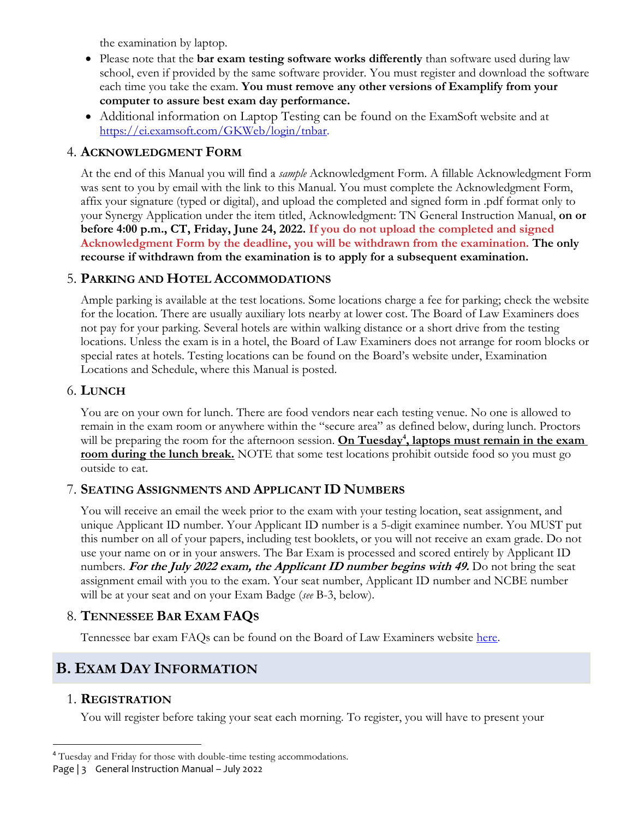the examination by laptop.

- Please note that the **bar exam testing software works differently** than software used during law school, even if provided by the same software provider. You must register and download the software each time you take the exam. **You must remove any other versions of Examplify from your computer to assure best exam day performance.**
- Additional information on Laptop Testing can be found on the ExamSoft website and at [https://ei.examsoft.com/GKWeb/login/tnbar.](https://ei.examsoft.com/GKWeb/login/tnbar)

#### 4. **ACKNOWLEDGMENT FORM**

At the end of this Manual you will find a *sample* Acknowledgment Form. A fillable Acknowledgment Form was sent to you by email with the link to this Manual. You must complete the Acknowledgment Form, affix your signature (typed or digital), and upload the completed and signed form in .pdf format only to your Synergy Application under the item titled, Acknowledgment: TN General Instruction Manual, **on or before 4:00 p.m., CT, Friday, June 24, 2022. If you do not upload the completed and signed Acknowledgment Form by the deadline, you will be withdrawn from the examination. The only recourse if withdrawn from the examination is to apply for a subsequent examination.** 

#### 5. **PARKING AND HOTEL ACCOMMODATIONS**

Ample parking is available at the test locations. Some locations charge a fee for parking; check the website for the location. There are usually auxiliary lots nearby at lower cost. The Board of Law Examiners does not pay for your parking. Several hotels are within walking distance or a short drive from the testing locations. Unless the exam is in a hotel, the Board of Law Examiners does not arrange for room blocks or special rates at hotels. Testing locations can be found on the Board's website under, Examination Locations and Schedule, where this Manual is posted.

#### 6. **LUNCH**

You are on your own for lunch. There are food vendors near each testing venue. No one is allowed to remain in the exam room or anywhere within the "secure area" as defined below, during lunch. Proctors will be preparing the room for the afternoon session. **On Tuesday<sup>4</sup> , laptops must remain in the exam room during the lunch break.** NOTE that some test locations prohibit outside food so you must go outside to eat.

## 7. **SEATING ASSIGNMENTS AND APPLICANT ID NUMBERS**

You will receive an email the week prior to the exam with your testing location, seat assignment, and unique Applicant ID number. Your Applicant ID number is a 5-digit examinee number. You MUST put this number on all of your papers, including test booklets, or you will not receive an exam grade. Do not use your name on or in your answers. The Bar Exam is processed and scored entirely by Applicant ID numbers. **For the July 2022 exam, the Applicant ID number begins with 49.** Do not bring the seat assignment email with you to the exam. Your seat number, Applicant ID number and NCBE number will be at your seat and on your Exam Badge (*see* B-3, below).

## 8. **TENNESSEE BAR EXAM FAQS**

Tennessee bar exam FAQs can be found on the Board of Law Examiners website [here.](https://bwp.tnble.org/?page_id=406)

# **B. EXAM DAY INFORMATION**

## 1. **REGISTRATION**

l

You will register before taking your seat each morning. To register, you will have to present your

Page | 3 General Instruction Manual – July 2022

<sup>4</sup> Tuesday and Friday for those with double-time testing accommodations.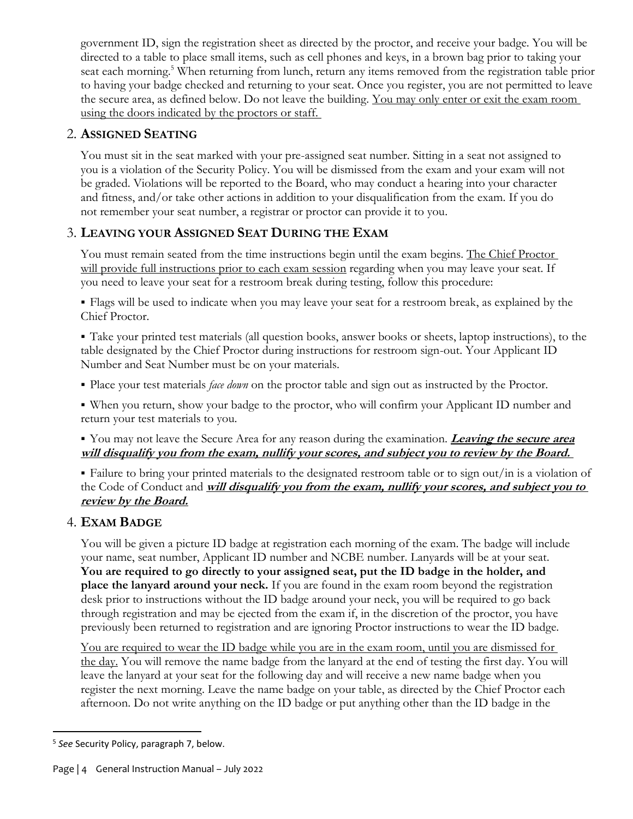government ID, sign the registration sheet as directed by the proctor, and receive your badge. You will be directed to a table to place small items, such as cell phones and keys, in a brown bag prior to taking your seat each morning.<sup>5</sup> When returning from lunch, return any items removed from the registration table prior to having your badge checked and returning to your seat. Once you register, you are not permitted to leave the secure area, as defined below. Do not leave the building. You may only enter or exit the exam room using the doors indicated by the proctors or staff.

#### 2. **ASSIGNED SEATING**

You must sit in the seat marked with your pre-assigned seat number. Sitting in a seat not assigned to you is a violation of the Security Policy. You will be dismissed from the exam and your exam will not be graded. Violations will be reported to the Board, who may conduct a hearing into your character and fitness, and/or take other actions in addition to your disqualification from the exam. If you do not remember your seat number, a registrar or proctor can provide it to you.

## 3. **LEAVING YOUR ASSIGNED SEAT DURING THE EXAM**

You must remain seated from the time instructions begin until the exam begins. The Chief Proctor will provide full instructions prior to each exam session regarding when you may leave your seat. If you need to leave your seat for a restroom break during testing, follow this procedure:

▪ Flags will be used to indicate when you may leave your seat for a restroom break, as explained by the Chief Proctor.

▪ Take your printed test materials (all question books, answer books or sheets, laptop instructions), to the table designated by the Chief Proctor during instructions for restroom sign-out. Your Applicant ID Number and Seat Number must be on your materials.

- Place your test materials *face down* on the proctor table and sign out as instructed by the Proctor.
- When you return, show your badge to the proctor, who will confirm your Applicant ID number and return your test materials to you.

#### ▪ You may not leave the Secure Area for any reason during the examination. **Leaving the secure area will disqualify you from the exam, nullify your scores, and subject you to review by the Board.**

▪ Failure to bring your printed materials to the designated restroom table or to sign out/in is a violation of the Code of Conduct and **will disqualify you from the exam, nullify your scores, and subject you to review by the Board.**

## 4. **EXAM BADGE**

You will be given a picture ID badge at registration each morning of the exam. The badge will include your name, seat number, Applicant ID number and NCBE number. Lanyards will be at your seat. **You are required to go directly to your assigned seat, put the ID badge in the holder, and place the lanyard around your neck.** If you are found in the exam room beyond the registration desk prior to instructions without the ID badge around your neck, you will be required to go back through registration and may be ejected from the exam if, in the discretion of the proctor, you have previously been returned to registration and are ignoring Proctor instructions to wear the ID badge.

You are required to wear the ID badge while you are in the exam room, until you are dismissed for the day. You will remove the name badge from the lanyard at the end of testing the first day. You will leave the lanyard at your seat for the following day and will receive a new name badge when you register the next morning. Leave the name badge on your table, as directed by the Chief Proctor each afternoon. Do not write anything on the ID badge or put anything other than the ID badge in the

 $\overline{\phantom{a}}$ 5 *See* Security Policy, paragraph 7, below.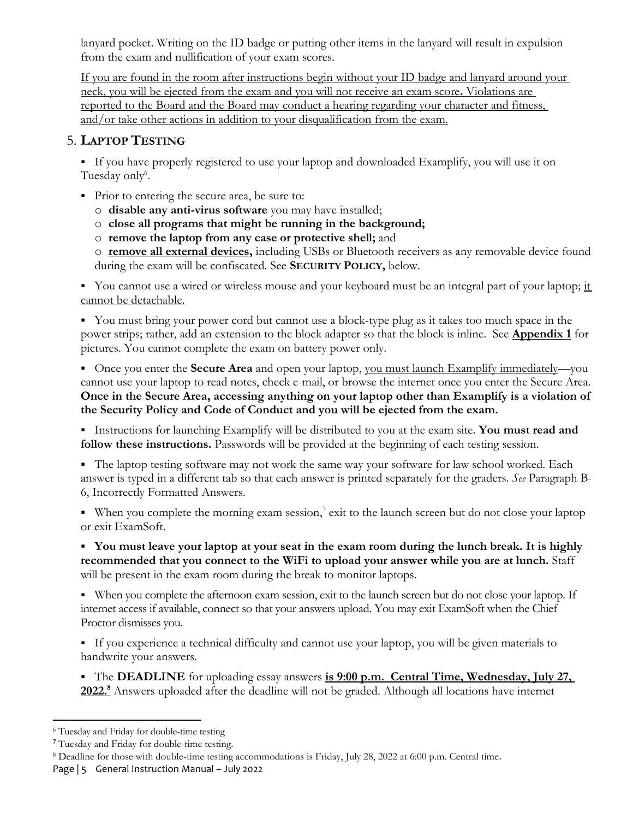lanyard pocket. Writing on the ID badge or putting other items in the lanyard will result in expulsion from the exam and nullification of your exam scores.

If you are found in the room after instructions begin without your ID badge and lanyard around your neck, you will be ejected from the exam and you will not receive an exam score**.** Violations are reported to the Board and the Board may conduct a hearing regarding your character and fitness, and/or take other actions in addition to your disqualification from the exam.

#### 5. **LAPTOP TESTING**

▪ If you have properly registered to use your laptop and downloaded Examplify, you will use it on Tuesday only<sup>6</sup>.

- Prior to entering the secure area, be sure to:
	- o **disable any anti-virus software** you may have installed;
	- o **close all programs that might be running in the background;**
	- o **remove the laptop from any case or protective shell;** and

o **remove all external devices,** including USBs or Bluetooth receivers as any removable device found during the exam will be confiscated. See **SECURITY POLICY,** below.

■ You cannot use a wired or wireless mouse and your keyboard must be an integral part of your laptop; it cannot be detachable.

▪ You must bring your power cord but cannot use a block-type plug as it takes too much space in the power strips; rather, add an extension to the block adapter so that the block is inline. See **Appendix 1** for pictures. You cannot complete the exam on battery power only.

■ Once you enter the **Secure Area** and open your laptop, you must launch Examplify immediately—you cannot use your laptop to read notes, check e-mail, or browse the internet once you enter the Secure Area. **Once in the Secure Area, accessing anything on your laptop other than Examplify is a violation of the Security Policy and Code of Conduct and you will be ejected from the exam.**

▪ Instructions for launching Examplify will be distributed to you at the exam site. **You must read and follow these instructions.** Passwords will be provided at the beginning of each testing session.

▪ The laptop testing software may not work the same way your software for law school worked. Each answer is typed in a different tab so that each answer is printed separately for the graders. *See* Paragraph B-6, Incorrectly Formatted Answers.

■ When you complete the morning exam session,<sup>7</sup> exit to the launch screen but do not close your laptop or exit ExamSoft.

▪ **You must leave your laptop at your seat in the exam room during the lunch break. It is highly recommended that you connect to the WiFi to upload your answer while you are at lunch.** Staff will be present in the exam room during the break to monitor laptops.

▪ When you complete the afternoon exam session, exit to the launch screen but do not close your laptop. If internet access if available, connect so that your answers upload. You may exit ExamSoft when the Chief Proctor dismisses you.

▪ If you experience a technical difficulty and cannot use your laptop, you will be given materials to handwrite your answers.

▪ The **DEADLINE** for uploading essay answers **is 9:00 p.m. Central Time, Wednesday, July 27,**  2022.<sup>8</sup> Answers uploaded after the deadline will not be graded. Although all locations have internet

 $\overline{\phantom{a}}$ 

<sup>6</sup> Tuesday and Friday for double-time testing

<sup>7</sup> Tuesday and Friday for double-time testing.

Page | 5 General Instruction Manual - July 2022 <sup>8</sup> Deadline for those with double-time testing accommodations is Friday, July 28, 2022 at 6:00 p.m. Central time.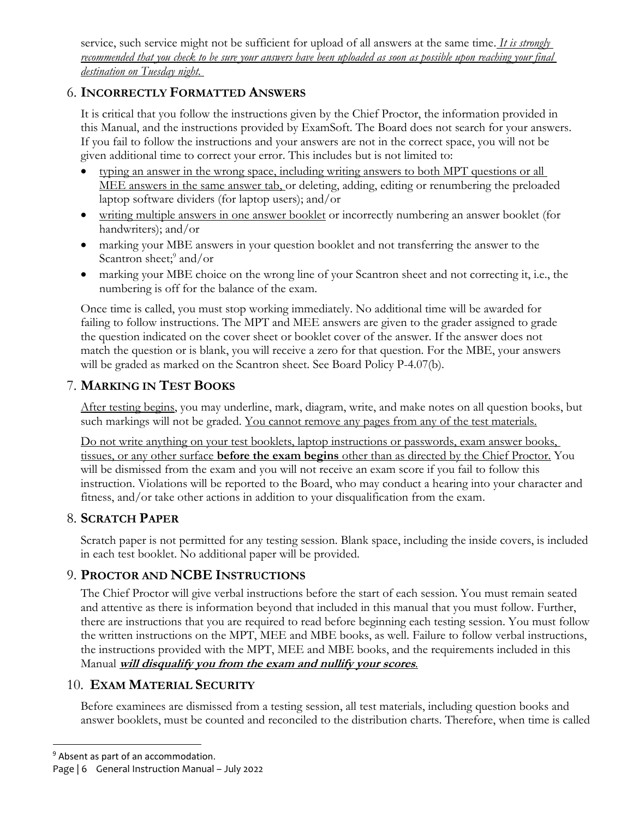service, such service might not be sufficient for upload of all answers at the same time. *It is strongly recommended that you check to be sure your answers have been uploaded as soon as possible upon reaching your final destination on Tuesday night.* 

## 6. **INCORRECTLY FORMATTED ANSWERS**

It is critical that you follow the instructions given by the Chief Proctor, the information provided in this Manual, and the instructions provided by ExamSoft. The Board does not search for your answers. If you fail to follow the instructions and your answers are not in the correct space, you will not be given additional time to correct your error. This includes but is not limited to:

- typing an answer in the wrong space, including writing answers to both MPT questions or all MEE answers in the same answer tab, or deleting, adding, editing or renumbering the preloaded laptop software dividers (for laptop users); and/or
- writing multiple answers in one answer booklet or incorrectly numbering an answer booklet (for handwriters); and/or
- marking your MBE answers in your question booklet and not transferring the answer to the Scantron sheet;<sup>9</sup> and/or
- marking your MBE choice on the wrong line of your Scantron sheet and not correcting it, i.e., the numbering is off for the balance of the exam.

Once time is called, you must stop working immediately. No additional time will be awarded for failing to follow instructions. The MPT and MEE answers are given to the grader assigned to grade the question indicated on the cover sheet or booklet cover of the answer. If the answer does not match the question or is blank, you will receive a zero for that question. For the MBE, your answers will be graded as marked on the Scantron sheet. See Board Policy P-4.07(b).

## 7. **MARKING IN TEST BOOKS**

After testing begins, you may underline, mark, diagram, write, and make notes on all question books, but such markings will not be graded. You cannot remove any pages from any of the test materials.

Do not write anything on your test booklets, laptop instructions or passwords, exam answer books, tissues, or any other surface **before the exam begins** other than as directed by the Chief Proctor. You will be dismissed from the exam and you will not receive an exam score if you fail to follow this instruction. Violations will be reported to the Board, who may conduct a hearing into your character and fitness, and/or take other actions in addition to your disqualification from the exam.

## 8. **SCRATCH PAPER**

Scratch paper is not permitted for any testing session. Blank space, including the inside covers, is included in each test booklet. No additional paper will be provided.

## 9. **PROCTOR AND NCBE INSTRUCTIONS**

The Chief Proctor will give verbal instructions before the start of each session. You must remain seated and attentive as there is information beyond that included in this manual that you must follow. Further, there are instructions that you are required to read before beginning each testing session. You must follow the written instructions on the MPT, MEE and MBE books, as well. Failure to follow verbal instructions, the instructions provided with the MPT, MEE and MBE books, and the requirements included in this Manual **will disqualify you from the exam and nullify your scores***.*

## 10. **EXAM MATERIAL SECURITY**

Before examinees are dismissed from a testing session, all test materials, including question books and answer booklets, must be counted and reconciled to the distribution charts. Therefore, when time is called

l

<sup>&</sup>lt;sup>9</sup> Absent as part of an accommodation.

Page | 6 General Instruction Manual - July 2022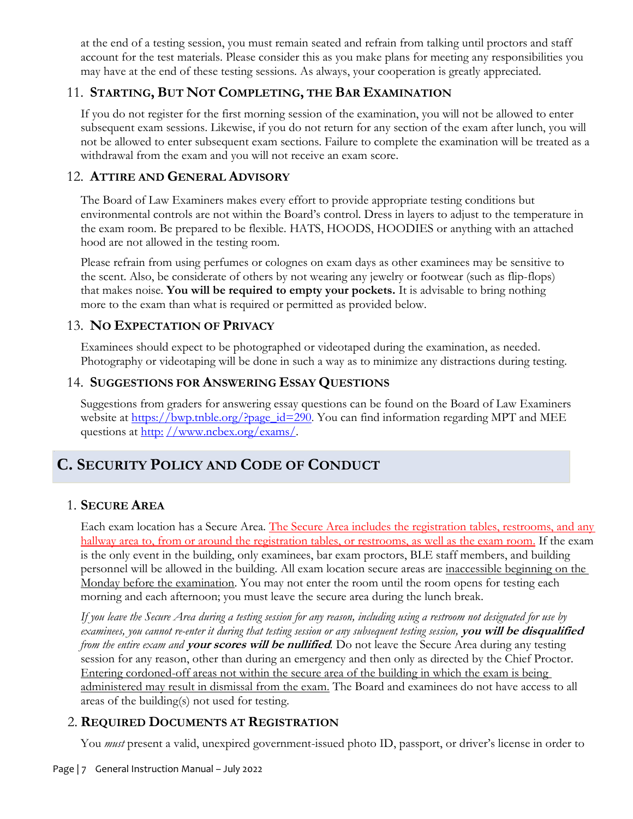at the end of a testing session, you must remain seated and refrain from talking until proctors and staff account for the test materials. Please consider this as you make plans for meeting any responsibilities you may have at the end of these testing sessions. As always, your cooperation is greatly appreciated.

#### 11. **STARTING, BUT NOT COMPLETING, THE BAR EXAMINATION**

If you do not register for the first morning session of the examination, you will not be allowed to enter subsequent exam sessions. Likewise, if you do not return for any section of the exam after lunch, you will not be allowed to enter subsequent exam sections. Failure to complete the examination will be treated as a withdrawal from the exam and you will not receive an exam score.

#### 12. **ATTIRE AND GENERAL ADVISORY**

The Board of Law Examiners makes every effort to provide appropriate testing conditions but environmental controls are not within the Board's control. Dress in layers to adjust to the temperature in the exam room. Be prepared to be flexible. HATS, HOODS, HOODIES or anything with an attached hood are not allowed in the testing room.

Please refrain from using perfumes or colognes on exam days as other examinees may be sensitive to the scent. Also, be considerate of others by not wearing any jewelry or footwear (such as flip-flops) that makes noise. **You will be required to empty your pockets.** It is advisable to bring nothing more to the exam than what is required or permitted as provided below.

#### 13. **NO EXPECTATION OF PRIVACY**

Examinees should expect to be photographed or videotaped during the examination, as needed. Photography or videotaping will be done in such a way as to minimize any distractions during testing.

#### 14. **SUGGESTIONS FOR ANSWERING ESSAY QUESTIONS**

Suggestions from graders for answering essay questions can be found on the Board of Law Examiners website at [https://bwp.tnble.org/?page\\_id=290](https://bwp.tnble.org/?page_id=290). You can find information regarding MPT and MEE questions at http: [//www.ncbex.org/exams/.](http://www.ncbex.org/exams/)

# **C. SECURITY POLICY AND CODE OF CONDUCT**

#### 1. **SECURE AREA**

Each exam location has a Secure Area. The Secure Area includes the registration tables, restrooms, and any hallway area to, from or around the registration tables, or restrooms, as well as the exam room. If the exam is the only event in the building, only examinees, bar exam proctors, BLE staff members, and building personnel will be allowed in the building. All exam location secure areas are inaccessible beginning on the Monday before the examination. You may not enter the room until the room opens for testing each morning and each afternoon; you must leave the secure area during the lunch break.

*If you leave the Secure Area during a testing session for any reason, including using a restroom not designated for use by examinees, you cannot re-enter it during that testing session or any subsequent testing session,* **you will be disqualified** *from the entire exam and* **your scores will be nullified***.* Do not leave the Secure Area during any testing session for any reason, other than during an emergency and then only as directed by the Chief Proctor. Entering cordoned-off areas not within the secure area of the building in which the exam is being administered may result in dismissal from the exam. The Board and examinees do not have access to all areas of the building(s) not used for testing.

## 2. **REQUIRED DOCUMENTS AT REGISTRATION**

You *must* present a valid, unexpired government-issued photo ID, passport, or driver's license in order to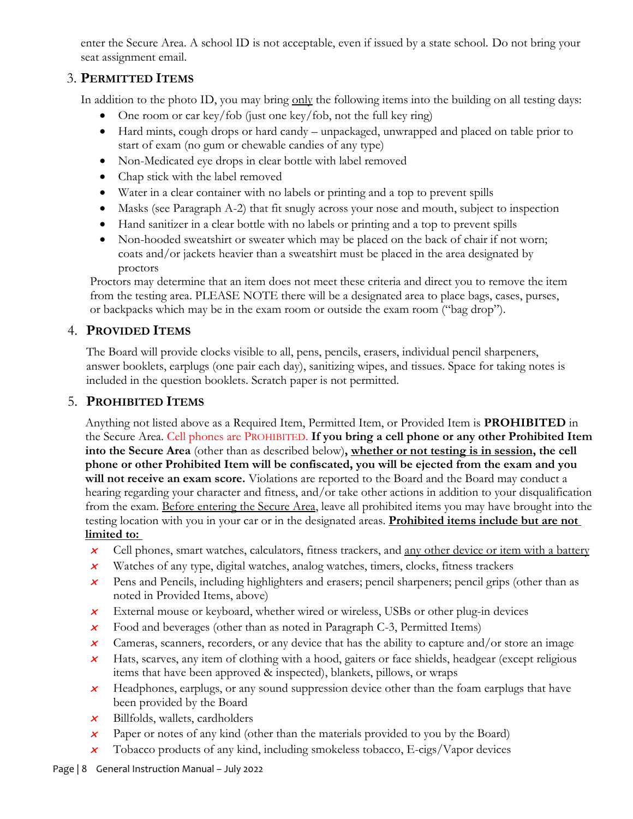enter the Secure Area. A school ID is not acceptable, even if issued by a state school. Do not bring your seat assignment email.

## 3. **PERMITTED ITEMS**

In addition to the photo ID, you may bring only the following items into the building on all testing days:

- One room or car key/fob (just one key/fob, not the full key ring)
- Hard mints, cough drops or hard candy unpackaged, unwrapped and placed on table prior to start of exam (no gum or chewable candies of any type)
- Non-Medicated eye drops in clear bottle with label removed
- Chap stick with the label removed
- Water in a clear container with no labels or printing and a top to prevent spills
- Masks (see Paragraph A-2) that fit snugly across your nose and mouth, subject to inspection
- Hand sanitizer in a clear bottle with no labels or printing and a top to prevent spills
- Non-hooded sweatshirt or sweater which may be placed on the back of chair if not worn; coats and/or jackets heavier than a sweatshirt must be placed in the area designated by proctors

Proctors may determine that an item does not meet these criteria and direct you to remove the item from the testing area. PLEASE NOTE there will be a designated area to place bags, cases, purses, or backpacks which may be in the exam room or outside the exam room ("bag drop").

#### 4. **PROVIDED ITEMS**

The Board will provide clocks visible to all, pens, pencils, erasers, individual pencil sharpeners, answer booklets, earplugs (one pair each day), sanitizing wipes, and tissues. Space for taking notes is included in the question booklets. Scratch paper is not permitted.

## 5. **PROHIBITED ITEMS**

Anything not listed above as a Required Item, Permitted Item, or Provided Item is **PROHIBITED** in the Secure Area. Cell phones are PROHIBITED. **If you bring a cell phone or any other Prohibited Item into the Secure Area** (other than as described below)**, whether or not testing is in session, the cell phone or other Prohibited Item will be confiscated, you will be ejected from the exam and you will not receive an exam score.** Violations are reported to the Board and the Board may conduct a hearing regarding your character and fitness, and/or take other actions in addition to your disqualification from the exam. Before entering the Secure Area, leave all prohibited items you may have brought into the testing location with you in your car or in the designated areas. **Prohibited items include but are not limited to:**

- x Cell phones, smart watches, calculators, fitness trackers, and any other device or item with a battery
- $x$  Watches of any type, digital watches, analog watches, timers, clocks, fitness trackers
- $\mathbf{x}$  Pens and Pencils, including highlighters and erasers; pencil sharpeners; pencil grips (other than as noted in Provided Items, above)
- $\chi^+$ External mouse or keyboard, whether wired or wireless, USBs or other plug-in devices
- $\chi^+$ Food and beverages (other than as noted in Paragraph C-3, Permitted Items)
- $\chi$ Cameras, scanners, recorders, or any device that has the ability to capture and/or store an image
- $\boldsymbol{\mathsf{x}}$  Hats, scarves, any item of clothing with a hood, gaiters or face shields, headgear (except religious items that have been approved & inspected), blankets, pillows, or wraps
- $\chi^+$  Headphones, earplugs, or any sound suppression device other than the foam earplugs that have been provided by the Board
- $\boldsymbol{\times}$  Billfolds, wallets, cardholders
- $\boldsymbol{x}$ Paper or notes of any kind (other than the materials provided to you by the Board)
- $\boldsymbol{x}$ Tobacco products of any kind, including smokeless tobacco, E-cigs/Vapor devices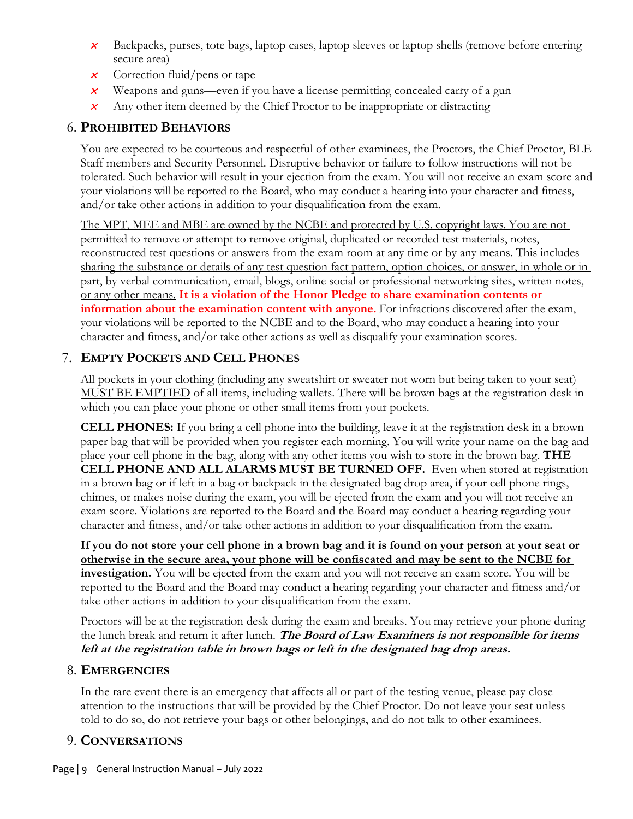- x Backpacks, purses, tote bags, laptop cases, laptop sleeves or laptop shells (remove before entering secure area)
- $\boldsymbol{\times}$  Correction fluid/pens or tape
- $\chi^2$ Weapons and guns—even if you have a license permitting concealed carry of a gun
- $\overline{\mathsf{x}}$ Any other item deemed by the Chief Proctor to be inappropriate or distracting

#### 6. **PROHIBITED BEHAVIORS**

You are expected to be courteous and respectful of other examinees, the Proctors, the Chief Proctor, BLE Staff members and Security Personnel. Disruptive behavior or failure to follow instructions will not be tolerated. Such behavior will result in your ejection from the exam. You will not receive an exam score and your violations will be reported to the Board, who may conduct a hearing into your character and fitness, and/or take other actions in addition to your disqualification from the exam.

The MPT, MEE and MBE are owned by the NCBE and protected by U.S. copyright laws. You are not permitted to remove or attempt to remove original, duplicated or recorded test materials, notes, reconstructed test questions or answers from the exam room at any time or by any means. This includes sharing the substance or details of any test question fact pattern, option choices, or answer, in whole or in part, by verbal communication, email, blogs, online social or professional networking sites, written notes, or any other means. **It is a violation of the Honor Pledge to share examination contents or information about the examination content with anyone.** For infractions discovered after the exam, your violations will be reported to the NCBE and to the Board, who may conduct a hearing into your character and fitness, and/or take other actions as well as disqualify your examination scores.

#### 7. **EMPTY POCKETS AND CELL PHONES**

All pockets in your clothing (including any sweatshirt or sweater not worn but being taken to your seat) MUST BE EMPTIED of all items, including wallets. There will be brown bags at the registration desk in which you can place your phone or other small items from your pockets.

**CELL PHONES:** If you bring a cell phone into the building, leave it at the registration desk in a brown paper bag that will be provided when you register each morning. You will write your name on the bag and place your cell phone in the bag, along with any other items you wish to store in the brown bag. **THE CELL PHONE AND ALL ALARMS MUST BE TURNED OFF.** Even when stored at registration in a brown bag or if left in a bag or backpack in the designated bag drop area, if your cell phone rings, chimes, or makes noise during the exam, you will be ejected from the exam and you will not receive an exam score. Violations are reported to the Board and the Board may conduct a hearing regarding your character and fitness, and/or take other actions in addition to your disqualification from the exam.

**If you do not store your cell phone in a brown bag and it is found on your person at your seat or otherwise in the secure area, your phone will be confiscated and may be sent to the NCBE for investigation.** You will be ejected from the exam and you will not receive an exam score. You will be reported to the Board and the Board may conduct a hearing regarding your character and fitness and/or take other actions in addition to your disqualification from the exam.

Proctors will be at the registration desk during the exam and breaks. You may retrieve your phone during the lunch break and return it after lunch. **The Board of Law Examiners is not responsible for items left at the registration table in brown bags or left in the designated bag drop areas.**

#### 8. **EMERGENCIES**

In the rare event there is an emergency that affects all or part of the testing venue, please pay close attention to the instructions that will be provided by the Chief Proctor. Do not leave your seat unless told to do so, do not retrieve your bags or other belongings, and do not talk to other examinees.

#### 9. **CONVERSATIONS**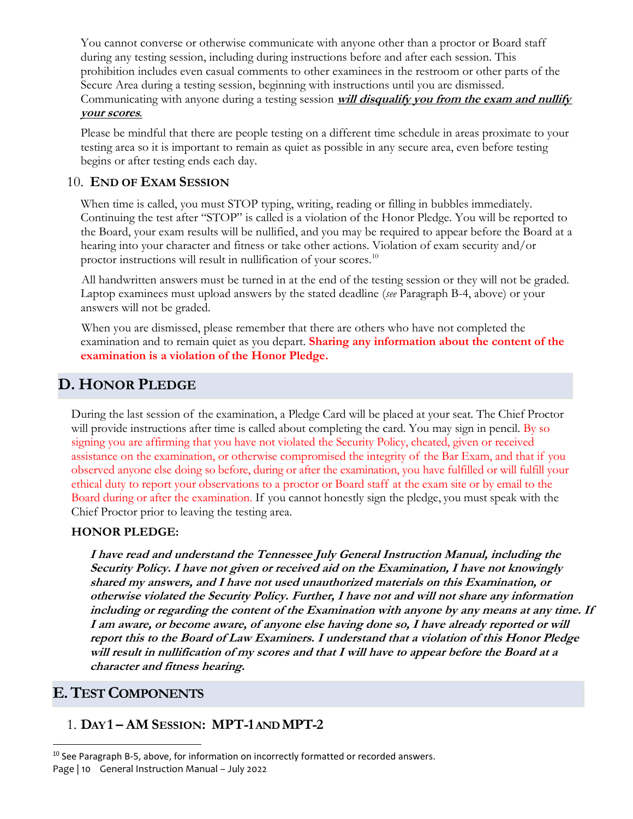You cannot converse or otherwise communicate with anyone other than a proctor or Board staff during any testing session, including during instructions before and after each session. This prohibition includes even casual comments to other examinees in the restroom or other parts of the Secure Area during a testing session, beginning with instructions until you are dismissed. Communicating with anyone during a testing session **will disqualify you from the exam and nullify your scores***.*

Please be mindful that there are people testing on a different time schedule in areas proximate to your testing area so it is important to remain as quiet as possible in any secure area, even before testing begins or after testing ends each day.

#### 10. **END OF EXAM SESSION**

When time is called, you must STOP typing, writing, reading or filling in bubbles immediately. Continuing the test after "STOP" is called is a violation of the Honor Pledge. You will be reported to the Board, your exam results will be nullified, and you may be required to appear before the Board at a hearing into your character and fitness or take other actions. Violation of exam security and/or proctor instructions will result in nullification of your scores.<sup>10</sup>

All handwritten answers must be turned in at the end of the testing session or they will not be graded. Laptop examinees must upload answers by the stated deadline (*see* Paragraph B-4, above) or your answers will not be graded.

When you are dismissed, please remember that there are others who have not completed the examination and to remain quiet as you depart. **Sharing any information about the content of the examination is a violation of the Honor Pledge.**

# **D. HONOR PLEDGE**

During the last session of the examination, a Pledge Card will be placed at your seat. The Chief Proctor will provide instructions after time is called about completing the card. You may sign in pencil. By so signing you are affirming that you have not violated the Security Policy, cheated, given or received assistance on the examination, or otherwise compromised the integrity of the Bar Exam, and that if you observed anyone else doing so before, during or after the examination, you have fulfilled or will fulfill your ethical duty to report your observations to a proctor or Board staff at the exam site or by email to the Board during or after the examination. If you cannot honestly sign the pledge, you must speak with the Chief Proctor prior to leaving the testing area.

#### **HONOR PLEDGE:**

**I have read and understand the Tennessee July General Instruction Manual, including the Security Policy. I have not given or received aid on the Examination, I have not knowingly shared my answers, and I have not used unauthorized materials on this Examination, or otherwise violated the Security Policy. Further, I have not and will not share any information including or regarding the content of the Examination with anyone by any means at any time. If I am aware, or become aware, of anyone else having done so, I have already reported or will report this to the Board of Law Examiners. I understand that a violation of this Honor Pledge will result in nullification of my scores and that I will have to appear before the Board at a character and fitness hearing.**

## **E.TEST COMPONENTS**

l

## 1. **DAY 1 – AM SESSION: MPT-1AND MPT-2**

Page | 10 General Instruction Manual – July 2022 <sup>10</sup> See Paragraph B-5, above, for information on incorrectly formatted or recorded answers.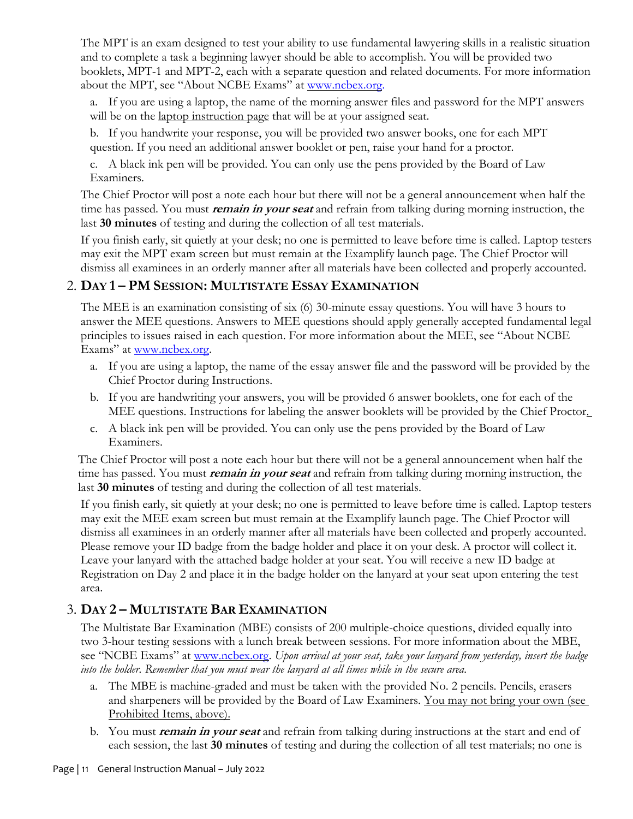The MPT is an exam designed to test your ability to use fundamental lawyering skills in a realistic situation and to complete a task a beginning lawyer should be able to accomplish. You will be provided two booklets, MPT-1 and MPT-2, each with a separate question and related documents. For more information about the MPT, see "About NCBE Exams" at [www.ncbex.org.](file:///C:/Users/aperl/Dropbox%20(BLE%20TN)/BLE%20Office/LP%20work%20items/Feb%2019%20exam/www.ncbex.org)

a. If you are using a laptop, the name of the morning answer files and password for the MPT answers will be on the laptop instruction page that will be at your assigned seat.

b. If you handwrite your response, you will be provided two answer books, one for each MPT question. If you need an additional answer booklet or pen, raise your hand for a proctor.

c. A black ink pen will be provided. You can only use the pens provided by the Board of Law Examiners.

The Chief Proctor will post a note each hour but there will not be a general announcement when half the time has passed. You must **remain in your seat** and refrain from talking during morning instruction, the last **30 minutes** of testing and during the collection of all test materials.

If you finish early, sit quietly at your desk; no one is permitted to leave before time is called. Laptop testers may exit the MPT exam screen but must remain at the Examplify launch page. The Chief Proctor will dismiss all examinees in an orderly manner after all materials have been collected and properly accounted.

#### 2. **DAY 1 – PM SESSION: MULTISTATE ESSAY EXAMINATION**

The MEE is an examination consisting of six (6) 30-minute essay questions. You will have 3 hours to answer the MEE questions. Answers to MEE questions should apply generally accepted fundamental legal principles to issues raised in each question. For more information about the MEE, see "About NCBE Exams" at [www.ncbex.org.](http://www.ncbex.org/)

- a. If you are using a laptop, the name of the essay answer file and the password will be provided by the Chief Proctor during Instructions.
- b. If you are handwriting your answers, you will be provided 6 answer booklets, one for each of the MEE questions. Instructions for labeling the answer booklets will be provided by the Chief Proctor.
- c. A black ink pen will be provided. You can only use the pens provided by the Board of Law Examiners.

The Chief Proctor will post a note each hour but there will not be a general announcement when half the time has passed. You must **remain in your seat** and refrain from talking during morning instruction, the last **30 minutes** of testing and during the collection of all test materials.

If you finish early, sit quietly at your desk; no one is permitted to leave before time is called. Laptop testers may exit the MEE exam screen but must remain at the Examplify launch page. The Chief Proctor will dismiss all examinees in an orderly manner after all materials have been collected and properly accounted. Please remove your ID badge from the badge holder and place it on your desk. A proctor will collect it. Leave your lanyard with the attached badge holder at your seat. You will receive a new ID badge at Registration on Day 2 and place it in the badge holder on the lanyard at your seat upon entering the test area.

## 3. **DAY 2 – MULTISTATE BAR EXAMINATION**

The Multistate Bar Examination (MBE) consists of 200 multiple-choice questions, divided equally into two 3-hour testing sessions with a lunch break between sessions. For more information about the MBE, see "NCBE Exams" at [www.ncbex.org.](http://www.ncbex.org/) *Upon arrival at your seat, take your lanyard from yesterday, insert the badge into the holder. Remember that you must wear the lanyard at all times while in the secure area.* 

- a. The MBE is machine-graded and must be taken with the provided No. 2 pencils. Pencils, erasers and sharpeners will be provided by the Board of Law Examiners. You may not bring your own (see Prohibited Items, above).
- b. You must **remain in your seat** and refrain from talking during instructions at the start and end of each session, the last **30 minutes** of testing and during the collection of all test materials; no one is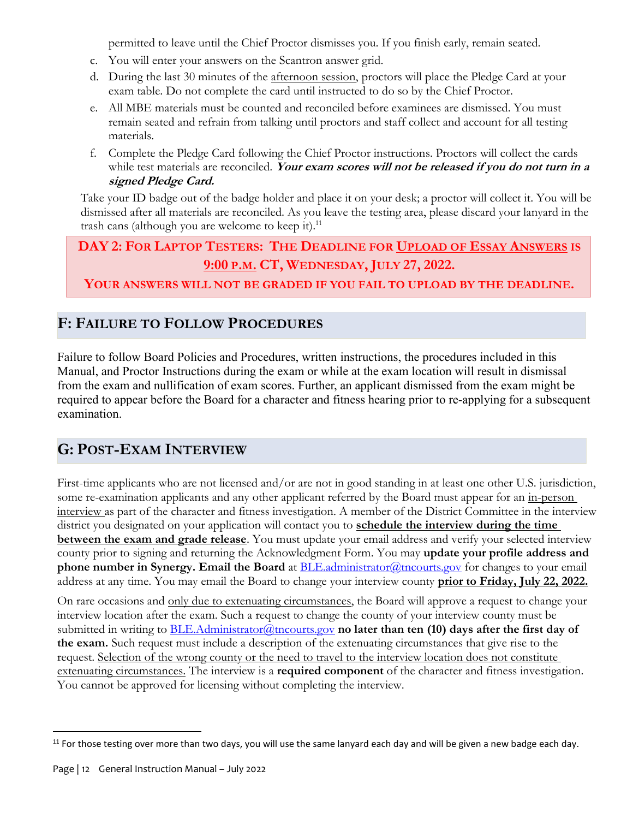permitted to leave until the Chief Proctor dismisses you. If you finish early, remain seated.

- c. You will enter your answers on the Scantron answer grid.
- d. During the last 30 minutes of the afternoon session, proctors will place the Pledge Card at your exam table. Do not complete the card until instructed to do so by the Chief Proctor.
- e. All MBE materials must be counted and reconciled before examinees are dismissed. You must remain seated and refrain from talking until proctors and staff collect and account for all testing materials.
- f. Complete the Pledge Card following the Chief Proctor instructions. Proctors will collect the cards while test materials are reconciled. Your exam scores will not be released if you do not turn in a **signed Pledge Card.**

Take your ID badge out of the badge holder and place it on your desk; a proctor will collect it. You will be dismissed after all materials are reconciled. As you leave the testing area, please discard your lanyard in the trash cans (although you are welcome to keep it).<sup>11</sup>

# **DAY 2: FOR LAPTOP TESTERS: THE DEADLINE FOR UPLOAD OF ESSAY ANSWERS IS 9:00 P.M. CT, WEDNESDAY, JULY 27, 2022.**

**YOUR ANSWERS WILL NOT BE GRADED IF YOU FAIL TO UPLOAD BY THE DEADLINE.**

# **F: FAILURE TO FOLLOW PROCEDURES**

Failure to follow Board Policies and Procedures, written instructions, the procedures included in this Manual, and Proctor Instructions during the exam or while at the exam location will result in dismissal from the exam and nullification of exam scores. Further, an applicant dismissed from the exam might be required to appear before the Board for a character and fitness hearing prior to re-applying for a subsequent examination.

# **G: POST-EXAM INTERVIEW**

First-time applicants who are not licensed and/or are not in good standing in at least one other U.S. jurisdiction, some re-examination applicants and any other applicant referred by the Board must appear for an in-person interview as part of the character and fitness investigation. A member of the District Committee in the interview district you designated on your application will contact you to **schedule the interview during the time between the exam and grade release**. You must update your email address and verify your selected interview county prior to signing and returning the Acknowledgment Form. You may **update your profile address and phone number in Synergy. Email the Board** at **BLE**.administrator *a* tn courts.gov for changes to your email address at any time. You may email the Board to change your interview county **prior to Friday, July 22, 2022.**

On rare occasions and only due to extenuating circumstances, the Board will approve a request to change your interview location after the exam. Such a request to change the county of your interview county must be submitted in writing to **BLE.Administrator@tncourts.gov no later than ten (10) days after the first day of the exam.** Such request must include a description of the extenuating circumstances that give rise to the request. Selection of the wrong county or the need to travel to the interview location does not constitute extenuating circumstances. The interview is a **required component** of the character and fitness investigation. You cannot be approved for licensing without completing the interview.

 $\overline{\phantom{a}}$ 

 $11$  For those testing over more than two days, you will use the same lanyard each day and will be given a new badge each day.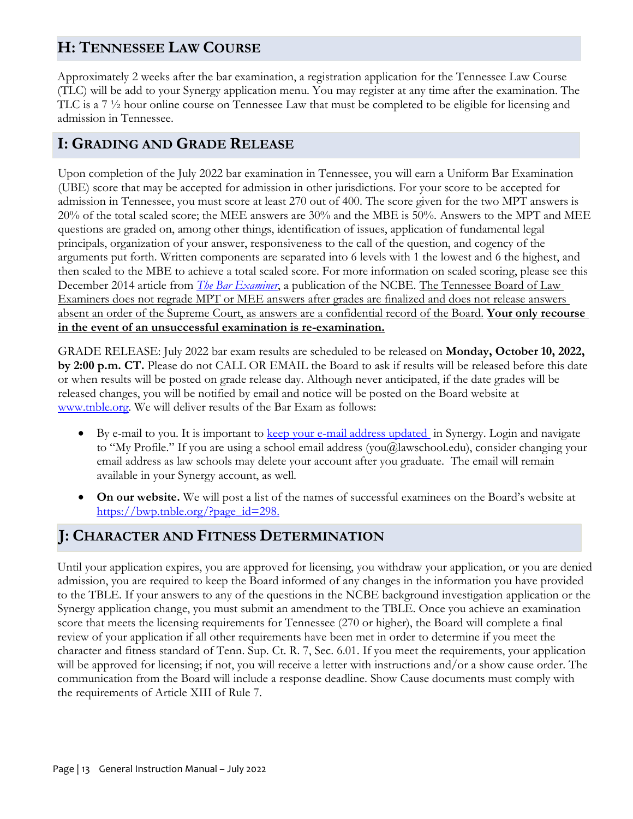# **H: TENNESSEE LAW COURSE**

Approximately 2 weeks after the bar examination, a registration application for the Tennessee Law Course (TLC) will be add to your Synergy application menu. You may register at any time after the examination. The TLC is a 7 ½ hour online course on Tennessee Law that must be completed to be eligible for licensing and admission in Tennessee.

## **I: GRADING AND GRADE RELEASE**

Upon completion of the July 2022 bar examination in Tennessee, you will earn a Uniform Bar Examination (UBE) score that may be accepted for admission in other jurisdictions. For your score to be accepted for admission in Tennessee, you must score at least 270 out of 400. The score given for the two MPT answers is 20% of the total scaled score; the MEE answers are 30% and the MBE is 50%. Answers to the MPT and MEE questions are graded on, among other things, identification of issues, application of fundamental legal principals, organization of your answer, responsiveness to the call of the question, and cogency of the arguments put forth. Written components are separated into 6 levels with 1 the lowest and 6 the highest, and then scaled to the MBE to achieve a total scaled score. For more information on scaled scoring, please see this December 2014 article from *[The Bar Examiner](http://www.ncbex.org/pdfviewer/?file=%2Fassets%2Fmedia_files%2FBar-Examiner%2Farticles%2F2014%2F830414-testingcolumn.pdf)*, a publication of the NCBE. The Tennessee Board of Law Examiners does not regrade MPT or MEE answers after grades are finalized and does not release answers absent an order of the Supreme Court, as answers are a confidential record of the Board. **Your only recourse in the event of an unsuccessful examination is re-examination.**

GRADE RELEASE: July 2022 bar exam results are scheduled to be released on **Monday, October 10, 2022, by 2:00 p.m. CT.** Please do not CALL OR EMAIL the Board to ask if results will be released before this date or when results will be posted on grade release day. Although never anticipated, if the date grades will be released changes, you will be notified by email and notice will be posted on the Board website at [www.tnble.org](http://www.tnble.org/). We will deliver results of the Bar Exam as follows:

- By e-mail to you. It is important to [keep your e-mail address updated](http://synergy.tnble.com/) in Synergy. Login and navigate to "My Profile." If you are using a school email address (you@lawschool.edu), consider changing your email address as law schools may delete your account after you graduate. The email will remain available in your Synergy account, as well.
- **On our website.** We will post a list of the names of successful examinees on the Board's website at [https://bwp.tnble.org/?page\\_id=298.](https://bwp.tnble.org/?page_id=298)

## **J: CHARACTER AND FITNESS DETERMINATION**

Until your application expires, you are approved for licensing, you withdraw your application, or you are denied admission, you are required to keep the Board informed of any changes in the information you have provided to the TBLE. If your answers to any of the questions in the NCBE background investigation application or the Synergy application change, you must submit an amendment to the TBLE. Once you achieve an examination score that meets the licensing requirements for Tennessee (270 or higher), the Board will complete a final review of your application if all other requirements have been met in order to determine if you meet the character and fitness standard of Tenn. Sup. Ct. R. 7, Sec. 6.01. If you meet the requirements, your application will be approved for licensing; if not, you will receive a letter with instructions and/or a show cause order. The communication from the Board will include a response deadline. Show Cause documents must comply with the requirements of Article XIII of Rule 7.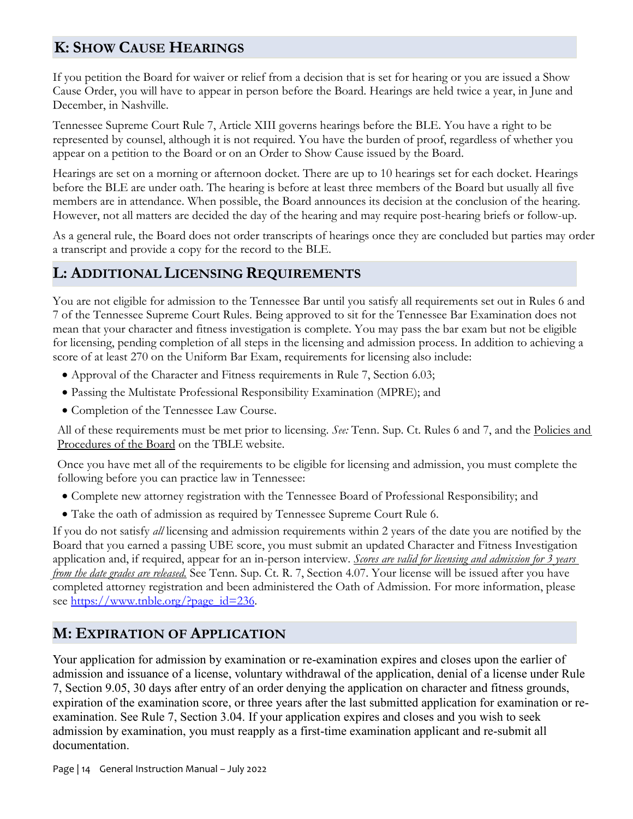# **K: SHOW CAUSE HEARINGS**

If you petition the Board for waiver or relief from a decision that is set for hearing or you are issued a Show Cause Order, you will have to appear in person before the Board. Hearings are held twice a year, in June and December, in Nashville.

Tennessee Supreme Court Rule 7, Article XIII governs hearings before the BLE. You have a right to be represented by counsel, although it is not required. You have the burden of proof, regardless of whether you appear on a petition to the Board or on an Order to Show Cause issued by the Board.

Hearings are set on a morning or afternoon docket. There are up to 10 hearings set for each docket. Hearings before the BLE are under oath. The hearing is before at least three members of the Board but usually all five members are in attendance. When possible, the Board announces its decision at the conclusion of the hearing. However, not all matters are decided the day of the hearing and may require post-hearing briefs or follow-up.

As a general rule, the Board does not order transcripts of hearings once they are concluded but parties may order a transcript and provide a copy for the record to the BLE.

## **L: ADDITIONAL LICENSING REQUIREMENTS**

You are not eligible for admission to the Tennessee Bar until you satisfy all requirements set out in Rules 6 and 7 of the Tennessee Supreme Court Rules. Being approved to sit for the Tennessee Bar Examination does not mean that your character and fitness investigation is complete. You may pass the bar exam but not be eligible for licensing, pending completion of all steps in the licensing and admission process. In addition to achieving a score of at least 270 on the Uniform Bar Exam, requirements for licensing also include:

- Approval of the Character and Fitness requirements in Rule 7, Section 6.03;
- Passing the Multistate Professional Responsibility Examination (MPRE); and
- Completion of the Tennessee Law Course.

All of these requirements must be met prior to licensing. *See:* Tenn. Sup. Ct. Rules 6 and 7, and the Policies and Procedures of the Board on the TBLE website.

Once you have met all of the requirements to be eligible for licensing and admission, you must complete the following before you can practice law in Tennessee:

- Complete new attorney registration with the Tennessee Board of Professional Responsibility; and
- Take the oath of admission as required by Tennessee Supreme Court Rule 6.

If you do not satisfy *all* licensing and admission requirements within 2 years of the date you are notified by the Board that you earned a passing UBE score, you must submit an updated Character and Fitness Investigation application and, if required, appear for an in-person interview. *Scores are valid for licensing and admission for 3 years from the date grades are released.* See Tenn. Sup. Ct. R. 7, Section 4.07. Your license will be issued after you have completed attorney registration and been administered the Oath of Admission. For more information, please see [https://www.tnble.org/?page\\_id=236.](https://www.tnble.org/?page_id=236)

## **M: EXPIRATION OF APPLICATION**

Your application for admission by examination or re-examination expires and closes upon the earlier of admission and issuance of a license, voluntary withdrawal of the application, denial of a license under Rule 7, Section 9.05, 30 days after entry of an order denying the application on character and fitness grounds, expiration of the examination score, or three years after the last submitted application for examination or reexamination. See Rule 7, Section 3.04. If your application expires and closes and you wish to seek admission by examination, you must reapply as a first-time examination applicant and re-submit all documentation.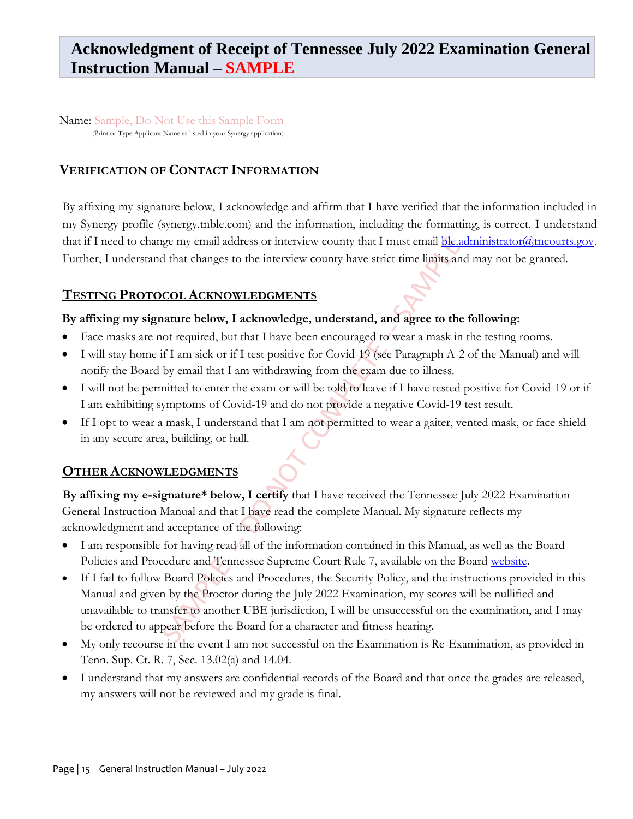# **Acknowledgment of Receipt of Tennessee July 2022 Examination General Instruction Manual – SAMPLE**

Name: Sample, Do Not Use this Sample Form (Print or Type Applicant Name as listed in your Synergy application)

#### **VERIFICATION OF CONTACT INFORMATION**

By affixing my signature below, I acknowledge and affirm that I have verified that the information included in my Synergy profile (synergy.tnble.com) and the information, including the formatting, is correct. I understand that if I need to change my email address or interview county that I must email **ble.administrator@tncourts.gov**. Further, I understand that changes to the interview county have strict time limits and may not be granted.

#### **TESTING PROTOCOL ACKNOWLEDGMENTS**

#### **By affixing my signature below, I acknowledge, understand, and agree to the following:**

- Face masks are not required, but that I have been encouraged to wear a mask in the testing rooms.
- I will stay home if I am sick or if I test positive for Covid-19 (see Paragraph A-2 of the Manual) and will notify the Board by email that I am withdrawing from the exam due to illness.
- I will not be permitted to enter the exam or will be told to leave if I have tested positive for Covid-19 or if I am exhibiting symptoms of Covid-19 and do not provide a negative Covid-19 test result.
- If I opt to wear a mask, I understand that I am not permitted to wear a gaiter, vented mask, or face shield in any secure area, building, or hall.

#### **OTHER ACKNOWLEDGMENTS**

**By affixing my e-signature\* below, I certify** that I have received the Tennessee July 2022 Examination General Instruction Manual and that I have read the complete Manual. My signature reflects my acknowledgment and acceptance of the following:

- I am responsible for having read all of the information contained in this Manual, as well as the Board Policies and Procedure and Tennessee Supreme Court Rule 7, available on the Board [website.](https://www.tnble.org/?page_id=56)
- If I fail to follow Board Policies and Procedures, the Security Policy, and the instructions provided in this Manual and given by the Proctor during the July 2022 Examination, my scores will be nullified and unavailable to transfer to another UBE jurisdiction, I will be unsuccessful on the examination, and I may be ordered to appear before the Board for a character and fitness hearing.
- My only recourse in the event I am not successful on the Examination is Re-Examination, as provided in Tenn. Sup. Ct. R. 7, Sec. 13.02(a) and 14.04.
- I understand that my answers are confidential records of the Board and that once the grades are released, my answers will not be reviewed and my grade is final.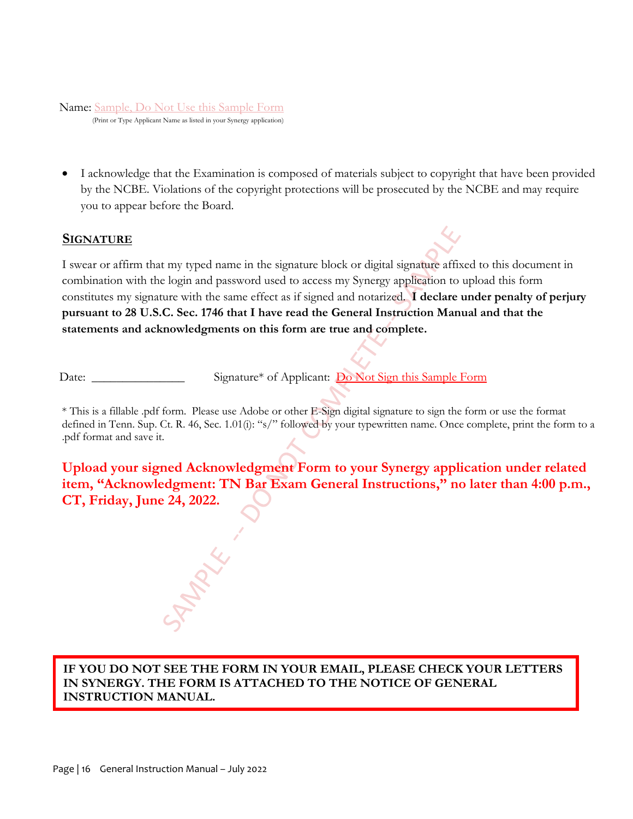## Name: Sample, Do Not Use this Sample Form

(Print or Type Applicant Name as listed in your Synergy application)

• I acknowledge that the Examination is composed of materials subject to copyright that have been provided by the NCBE. Violations of the copyright protections will be prosecuted by the NCBE and may require you to appear before the Board.

#### **SIGNATURE**

I swear or affirm that my typed name in the signature block or digital signature affixed to this document in combination with the login and password used to access my Synergy application to upload this form constitutes my signature with the same effect as if signed and notarized. **I declare under penalty of perjury pursuant to 28 U.S.C. Sec. 1746 that I have read the General Instruction Manual and that the statements and acknowledgments on this form are true and complete.**

Date: \_\_\_\_\_\_\_\_\_\_\_\_\_\_\_\_\_ Signature<sup>\*</sup> of Applicant: Do Not Sign this Sample Form

\* This is a fillable .pdf form. Please use Adobe or other E-Sign digital signature to sign the form or use the format defined in Tenn. Sup. Ct. R. 46, Sec. 1.01(i): "s/" followed by your typewritten name. Once complete, print the form to a .pdf format and save it.

**Upload your signed Acknowledgment Form to your Synergy application under related item, "Acknowledgment: TN Bar Exam General Instructions," no later than 4:00 p.m., CT, Friday, June 24, 2022.** 

**IF YOU DO NOT SEE THE FORM IN YOUR EMAIL, PLEASE CHECK YOUR LETTERS IN SYNERGY. THE FORM IS ATTACHED TO THE NOTICE OF GENERAL INSTRUCTION MANUAL.**